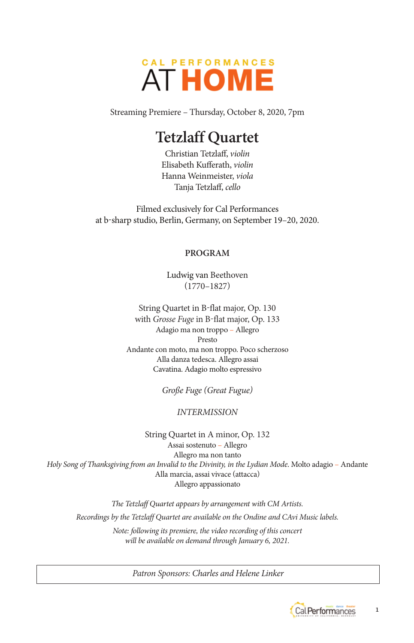

Streaming Premiere – Thursday, October 8, 2020, 7pm

# **Tetzlaff Quartet**

Christian Tetzlaff, *violin* Elisabeth Kufferath, *violin* Hanna Weinmeister, *viola* Tanja Tetzlaff, *cello*

Filmed exclusively for Cal Performances at b-sharp studio, Berlin, Germany, on September 19–20, 2020.

### **PROGRAM**

Ludwig van Beethoven (1770–1827)

String Quartet in B-flat major, Op. 130 with *Grosse Fuge* in B-flat major, Op. 133 Adagio ma non troppo – Allegro Presto Andante con moto, ma non troppo. Poco scherzoso Alla danza tedesca. Allegro assai Cavatina. Adagio molto espressivo

*Große Fuge (Great Fugue)* 

# *INTERMISSION*

String Quartet in A minor, Op. 132 Assai sostenuto – Allegro Allegro ma non tanto *Holy Song of Thanksgiving from an Invalid to the Divinity, in the Lydian Mode*. Molto adagio – Andante Alla marcia, assai vivace (attacca) Allegro appassionato

*The Tetzlaff Quartet appears by arrangement with CM Artists. Recordings by the Tetzlaff Quartet are available on the Ondine and CAvi Music labels.* 

*Note: following its premiere, the video recording of this concert will be available on demand through January 6, 2021.* 

*Patron Sponsors: Charles and Helene Linker*



1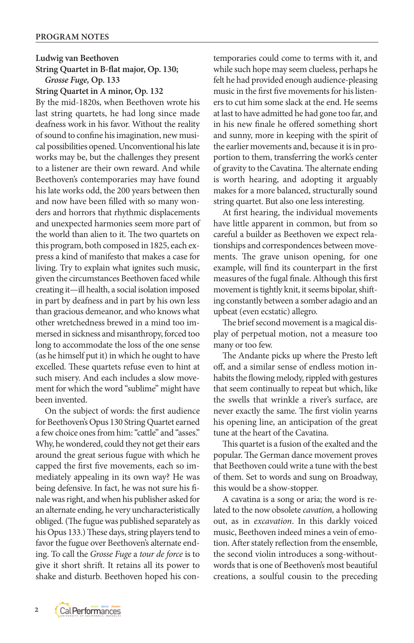**Ludwig van Beethoven String Quartet in B-flat major, Op. 130;**  *Grosse Fuge,* **Op. 133** 

**String Quartet in A minor, Op. 132**

By the mid-1820s, when Beethoven wrote his last string quartets, he had long since made deafness work in his favor. Without the reality of sound to confine his imagination, new musical possibilities opened. Unconventional his late works may be, but the challenges they present to a listener are their own reward. And while Beethoven's contemporaries may have found his late works odd, the 200 years between then and now have been filled with so many wonders and horrors that rhythmic displacements and unexpected harmonies seem more part of the world than alien to it. The two quartets on this program, both composed in 1825, each express a kind of manifesto that makes a case for living. Try to explain what ignites such music, given the circumstances Beethoven faced while creating it—ill health, a social isolation imposed in part by deafness and in part by his own less than gracious demeanor, and who knows what other wretchedness brewed in a mind too immersed in sickness and misanthropy, forced too long to accommodate the loss of the one sense (as he himself put it) in which he ought to have excelled. These quartets refuse even to hint at such misery. And each includes a slow movement for which the word "sublime" might have been invented.

On the subject of words: the first audience for Beethoven's Opus 130 String Quartet earned a few choice ones from him: "cattle" and "asses." Why, he wondered, could they not get their ears around the great serious fugue with which he capped the first five movements, each so immediately appealing in its own way? He was being defensive. In fact, he was not sure his finale was right, and when his publisher asked for an alternate ending, he very uncharacteristically obliged. (The fugue was published separately as his Opus 133.) These days, string players tend to favor the fugue over Beethoven's alternate ending. To call the *Grosse Fuge* a *tour de force* is to give it short shrift. It retains all its power to shake and disturb. Beethoven hoped his contemporaries could come to terms with it, and while such hope may seem clueless, perhaps he felt he had provided enough audience-pleasing music in the first five movements for his listeners to cut him some slack at the end. He seems at last to have admitted he had gone too far, and in his new finale he offered something short and sunny, more in keeping with the spirit of the earlier movements and, because it is in proportion to them, transferring the work's center of gravity to the Cavatina. The alternate ending is worth hearing, and adopting it arguably makes for a more balanced, structurally sound string quartet. But also one less interesting.

At first hearing, the individual movements have little apparent in common, but from so careful a builder as Beethoven we expect relationships and correspondences between movements. The grave unison opening, for one example, will find its counterpart in the first measures of the fugal finale. Although this first movement is tightly knit, it seems bipolar, shifting constantly between a somber adagio and an upbeat (even ecstatic) allegro.

The brief second movement is a magical display of perpetual motion, not a measure too many or too few.

The Andante picks up where the Presto left off, and a similar sense of endless motion inhabits the flowing melody, rippled with gestures that seem continually to repeat but which, like the swells that wrinkle a river's surface, are never exactly the same. The first violin yearns his opening line, an anticipation of the great tune at the heart of the Cavatina.

This quartet is a fusion of the exalted and the popular. The German dance movement proves that Beethoven could write a tune with the best of them. Set to words and sung on Broadway, this would be a show-stopper.

A cavatina is a song or aria; the word is related to the now obsolete *cavation,* a hollowing out, as in *excavation*. In this darkly voiced music, Beethoven indeed mines a vein of emotion. After stately reflection from the ensemble, the second violin introduces a song-withoutwords that is one of Beethoven's most beautiful creations, a soulful cousin to the preceding

 $\overline{2}$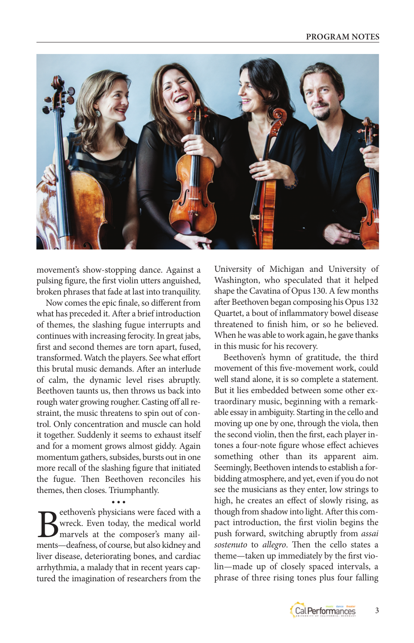

movement's show-stopping dance. Against a pulsing figure, the first violin utters anguished, broken phrases that fade at last into tranquility.

Now comes the epic finale, so different from what has preceded it. After a brief introduction of themes, the slashing fugue interrupts and continues with increasing ferocity. In great jabs, first and second themes are torn apart, fused, transformed. Watch the players. See what effort this brutal music demands. After an interlude of calm, the dynamic level rises abruptly. Beethoven taunts us, then throws us back into rough water growing rougher. Casting off all restraint, the music threatens to spin out of control. Only concentration and muscle can hold it together. Suddenly it seems to exhaust itself and for a moment grows almost giddy. Again momentum gathers, subsides, bursts out in one more recall of the slashing figure that initiated the fugue. Then Beethoven reconciles his themes, then closes. Triumphantly.

• • • **B**eethoven's physicians were faced with a<br>wreck. Even today, the medical world<br>marvels at the composer's many ail-<br>ments—deafness of course, but also kidney and wreck. Even today, the medical world marvels at the composer's many ailments—deafness, of course, but also kidney and liver disease, deteriorating bones, and cardiac arrhythmia, a malady that in recent years captured the imagination of researchers from the

University of Michigan and University of Washington, who speculated that it helped shape the Cavatina of Opus 130. A few months after Beethoven began composing his Opus 132 Quartet, a bout of inflammatory bowel disease threatened to finish him, or so he believed. When he was able to work again, he gave thanks in this music for his recovery.

Beethoven's hymn of gratitude, the third movement of this five-movement work, could well stand alone, it is so complete a statement. But it lies embedded between some other extraordinary music, beginning with a remarkable essay in ambiguity. Starting in the cello and moving up one by one, through the viola, then the second violin, then the first, each player intones a four-note figure whose effect achieves something other than its apparent aim. Seemingly, Beethoven intends to establish a forbidding atmosphere, and yet, even if you do not see the musicians as they enter, low strings to high, he creates an effect of slowly rising, as though from shadow into light. After this compact introduction, the first violin begins the push forward, switching abruptly from *assai sostenuto* to *allegro*. Then the cello states a theme—taken up immediately by the first violin—made up of closely spaced intervals, a phrase of three rising tones plus four falling

3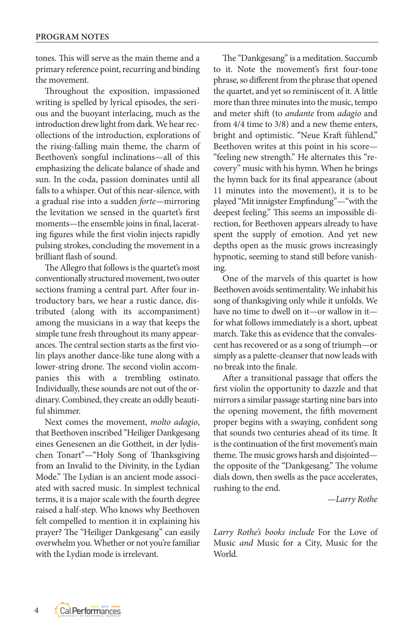tones. This will serve as the main theme and a primary reference point, recurring and binding the movement.

Throughout the exposition, impassioned writing is spelled by lyrical episodes, the serious and the buoyant interlacing, much as the introduction drew light from dark. We hear recollections of the introduction, explorations of the rising-falling main theme, the charm of Beethoven's songful inclinations—all of this emphasizing the delicate balance of shade and sun. In the coda, passion dominates until all falls to a whisper. Out of this near-silence, with a gradual rise into a sudden *forte—*mirroring the levitation we sensed in the quartet's first moments—the ensemble joins in final, lacerating figures while the first violin injects rapidly pulsing strokes, concluding the movement in a brilliant flash of sound.

The Allegro that follows is the quartet's most conventionally structured movement, two outer sections framing a central part. After four introductory bars, we hear a rustic dance, distributed (along with its accompaniment) among the musicians in a way that keeps the simple tune fresh throughout its many appearances. The central section starts as the first violin plays another dance-like tune along with a lower-string drone. The second violin accompanies this with a trembling ostinato. Individually, these sounds are not out of the ordinary. Combined, they create an oddly beautiful shimmer.

Next comes the movement, *molto adagio*, that Beethoven inscribed "Heiliger Dankgesang eines Genesenen an die Gottheit, in der lydischen Tonart"*—*"Holy Song of Thanksgiving from an Invalid to the Divinity, in the Lydian Mode." The Lydian is an ancient mode associated with sacred music. In simplest technical terms, it is a major scale with the fourth degree raised a half-step. Who knows why Beethoven felt compelled to mention it in explaining his prayer? The "Heiliger Dankgesang" can easily overwhelm you. Whether or not you're familiar with the Lydian mode is irrelevant.

The "Dankgesang" is a meditation. Succumb to it. Note the movement's first four-tone phrase, so different from the phrase that opened the quartet, and yet so reminiscent of it. A little more than three minutes into the music, tempo and meter shift (to *andante* from *adagio* and from 4/4 time to 3/8) and a new theme enters, bright and optimistic. "Neue Kraft fühlend," Beethoven writes at this point in his score— "feeling new strength." He alternates this "recovery" music with his hymn. When he brings the hymn back for its final appearance (about 11 minutes into the movement), it is to be played "Mit innigster Empfindung"—"with the deepest feeling." This seems an impossible direction, for Beethoven appears already to have spent the supply of emotion. And yet new depths open as the music grows increasingly hypnotic, seeming to stand still before vanishing.

One of the marvels of this quartet is how Beethoven avoids sentimentality. We inhabit his song of thanksgiving only while it unfolds. We have no time to dwell on it—or wallow in it for what follows immediately is a short, upbeat march. Take this as evidence that the convalescent has recovered or as a song of triumph—or simply as a palette-cleanser that now leads with no break into the finale.

After a transitional passage that offers the first violin the opportunity to dazzle and that mirrors a similar passage starting nine bars into the opening movement, the fifth movement proper begins with a swaying, confident song that sounds two centuries ahead of its time. It is the continuation of the first movement's main theme. The music grows harsh and disjointed the opposite of the "Dankgesang." The volume dials down, then swells as the pace accelerates, rushing to the end.

*—Larry Rothe* 

*Larry Rothe's books include* For the Love of Music *and* Music for a City, Music for the World.

4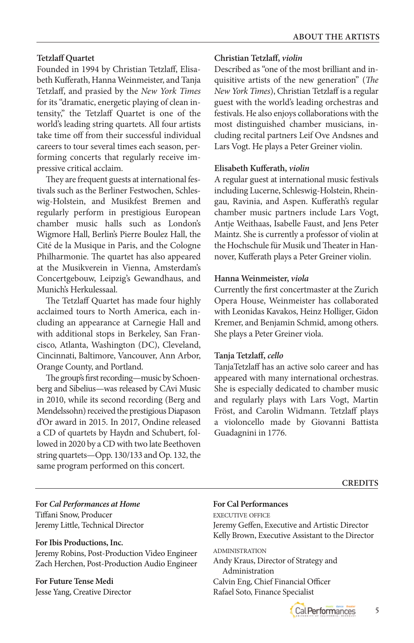# **Tetzlaff Quartet**

Founded in 1994 by Christian Tetzlaff, Elisabeth Kufferath, Hanna Weinmeister, and Tanja Tetzlaff, and prasied by the *New York Times* for its "dramatic, energetic playing of clean intensity," the Tetzlaff Quartet is one of the world's leading string quartets. All four artists take time off from their successful individual careers to tour several times each season, performing concerts that regularly receive impressive critical acclaim.

They are frequent guests at international festivals such as the Berliner Festwochen, Schles wig-Holstein, and Musikfest Bremen and regularly perform in prestigious European chamber music halls such as London's Wigmore Hall, Berlin's Pierre Boulez Hall, the Cité de la Musique in Paris, and the Cologne Philharmonie. The quartet has also appeared at the Musikverein in Vienna, Amsterdam's Concertgebouw, Leipzig's Gewandhaus, and Munich's Herkulessaal.

The Tetzlaff Quartet has made four highly acclaimed tours to North America, each including an appearance at Carnegie Hall and with additional stops in Berkeley, San Fran cisco, Atlanta, Washington (DC), Cleveland, Cincinnati, Baltimore, Vancouver, Ann Arbor, Orange County, and Portland.

The group's first recording—music by Schoen berg and Sibelius—was released by CAvi Music in 2010, while its second recording (Berg and Mendelssohn) received the prestigious Diapason d'Or award in 2015. In 2017, Ondine released a CD of quartets by Haydn and Schubert, followed in 2020 by a CD with two late Beethoven string quartets—Opp. 130/133 and Op. 132, the same program performed on this concert.

# **Christian Tetzlaff,** *violin*

Described as "one of the most brilliant and inquisitive artists of the new generation" (*The New York Times*), Christian Tetzlaff is a regular guest with the world's leading orchestras and festivals. He also enjoys collaborations with the most distinguished chamber musicians, including recital partners Leif Ove Andsnes and Lars Vogt. He plays a Peter Greiner violin.

### **Elisabeth Kufferath,** *violin*

A regular guest at international music festivals including Lucerne, Schleswig-Holstein, Rhein gau, Ravinia, and Aspen. Kufferath's regular chamber music partners include Lars Vogt, Antje Weithaas, Isabelle Faust, and Jens Peter Maintz. She is currently a professor of violin at the Hochschule für Musik und Theater in Han nover, Kufferath plays a Peter Greiner violin.

### **Hanna Weinmeister,** *viola*

Currently the first concertmaster at the Zurich Opera House, Weinmeister has collaborated with Leonidas Kavakos, Heinz Holliger, Gidon Kremer, and Benjamin Schmid, among others. She plays a Peter Greiner viola.

# **Tanja Tetzlaff,** *cello*

TanjaTetzlaff has an active solo career and has appeared with many international orchestras. She is especially dedicated to chamber music and regularly plays with Lars Vogt, Martin Fröst, and Carolin Widmann. Tetzlaff plays a violoncello made by Giovanni Battista Guadagnini in 1776.

**For** *Cal Performances at Home* Tiffani Snow, Producer Jeremy Little, Technical Director

### **For Ibis Productions, Inc.**

Jeremy Robins, Post-Production Video Engineer Zach Herchen, Post-Production Audio Engineer

**For Future Tense Medi**  Jesse Yang, Creative Director

# **For Cal Performances**

EXECUTIVE OFFICE

Jeremy Geffen, Executive and Artistic Director Kelly Brown, Executive Assistant to the Director

ADMINISTRATION Andy Kraus, Director of Strategy and Administration Calvin Eng, Chief Financial Officer Rafael Soto, Finance Specialist